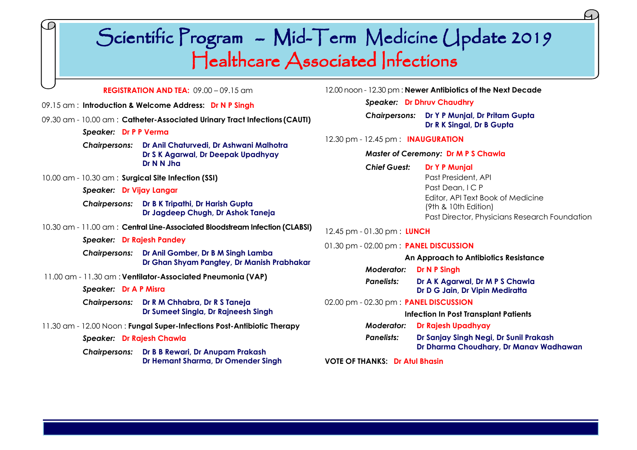# Scientific Program - Mid-Term Medicine Update 2019 Healthcare Associated Infections

### **REGISTRATION AND TEA:** 09.00 – 09.15 am

- 09.15 am : **Introduction & Welcome Address: Dr N P Singh**
- 09.30 am 10.00 am : **Catheter-Associated Urinary Tract Infections (CAUTI)**
	- *Speaker:* **Dr P P Verma**
	- *Chairpersons:* **Dr Anil Chaturvedi, Dr Ashwani Malhotra Dr S K Agarwal, Dr Deepak Upadhyay Dr N N Jha**
- 10.00 am 10.30 am : **Surgical Site Infection (SSI)**
	- *Speaker:* **Dr Vijay Langar**
	- *Chairpersons:* **Dr B K Tripathi, Dr Harish Gupta Dr Jagdeep Chugh, Dr Ashok Taneja**
- 10.30 am 11.00 am : **Central Line-Associated Bloodstream Infection (CLABSI)**
	- *Speaker:* **Dr Rajesh Pandey**
	- *Chairpersons:* **Dr Anil Gomber, Dr B M Singh Lamba Dr Ghan Shyam Pangtey, Dr Manish Prabhakar**
- 11.00 am 11.30 am : **Ventilator-Associated Pneumonia (VAP)**
	- *Speaker:* **Dr A P Misra**
	- *Chairpersons:* **Dr R M Chhabra, Dr R S Taneja Dr Sumeet Singla, Dr Rajneesh Singh**
- 11.30 am 12.00 Noon : **Fungal Super-Infections Post-Antibiotic Therapy**
	- *Speaker:* **Dr Rajesh Chawla**
	- *Chairpersons:* **Dr B B Rewari, Dr Anupam Prakash Dr Hemant Sharma, Dr Omender Singh**
- 12.00 noon 12.30 pm : **Newer Antibiotics of the Next Decade**
	- *Speaker:* **Dr Dhruv Chaudhry**
	- *Chairpersons:* **Dr Y P Munjal, Dr Pritam Gupta Dr R K Singal, Dr B Gupta**
- 12.30 pm 12.45 pm : **INAUGURATION**

### *Master of Ceremony:* **Dr M P S Chawla**

- *Chief Guest:* **Dr Y P Munjal** Past President, API Past Dean, I C P Editor, API Text Book of Medicine (9th & 10th Edition) Past Director, Physicians Research Foundation
- 12.45 pm 01.30 pm : **LUNCH**

### 01.30 pm - 02.00 pm : **PANEL DISCUSSION**

- **An Approach to Antibiotics Resistance** *Moderator:* **Dr N P Singh** *Panelists:* **Dr A K Agarwal, Dr M P S Chawla Dr D G Jain, Dr Vipin Mediratta** 02.00 pm - 02.30 pm : **PANEL DISCUSSION**
	- **Infection In Post Transplant Patients**
	- *Moderator:* **Dr Rajesh Upadhyay** *Panelists:* **Dr Sanjay Singh Negi, Dr Sunil Prakash Dr Dharma Choudhary, Dr Manav Wadhawan**

### **VOTE OF THANKS: Dr Atul Bhasin**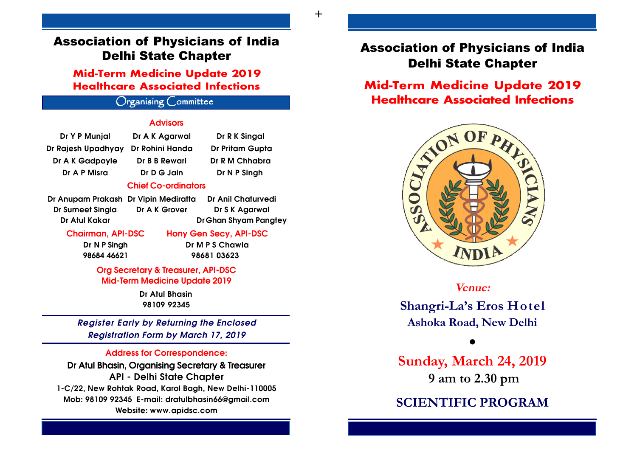# Association of Physicians of India Delhi State Chapter

**Mid-Term Medicine Update 2019 Healthcare Associated Infections**

# Organising Committee

### **Advisors**

| Dr Y P Munjal      | Dr A K Agarwal             | Dr R K Singal          |
|--------------------|----------------------------|------------------------|
| Dr Rajesh Upadhyay | Dr Rohini Handa            | <b>Dr Pritam Gupta</b> |
| Dr A K Gadpayle    | Dr B B Rewari              | Dr R M Chhabra         |
| Dr A P Misra       | Dr D G Jain                | Dr N P Singh           |
|                    | <b>Chief Co-ordinators</b> |                        |

| Ir Anupam Prakash Di    |  |
|-------------------------|--|
| <b>Dr Sumeet Singla</b> |  |
| Dr Atul Kakar           |  |

Dr Anupam Prakash Dr Vipin Mediratta Dr Anil Chaturvedi Dr A K Grover Dr S K Agarwal Dr Ghan Shyam Pangtey

Chairman, API-DSC Hony Gen Secy, API-DSC

Dr N P Singh Dr M P S Chawla 98684 46621 98681 03623

Org Secretary & Treasurer, API-DSC Mid-Term Medicine Update 2019

> Dr Atul Bhasin 98109 92345

Register Early by Returning the Enclosed Registration Form by March 17, 2019

### Address for Correspondence:

Dr Atul Bhasin, Organising Secretary & Treasurer API - Delhi State Chapter 1-C/22, New Rohtak Road, Karol Bagh, New Delhi-110005 Mob: 98109 92345 E-mail: dratulbhasin66@gmail.com Website: www.apidsc.com

# Association of Physicians of India Delhi State Chapter

# **Mid-Term Medicine Update 2019 Healthcare Associated Infections**



**Venue:**

**Shangri-La's Eros Hotel Ashoka Road, New Delhi**

### $\bullet$

**Sunday, March 24, 2019 9 am to 2.30 pm**

# **SCIENTIFIC PROGRAM**

+